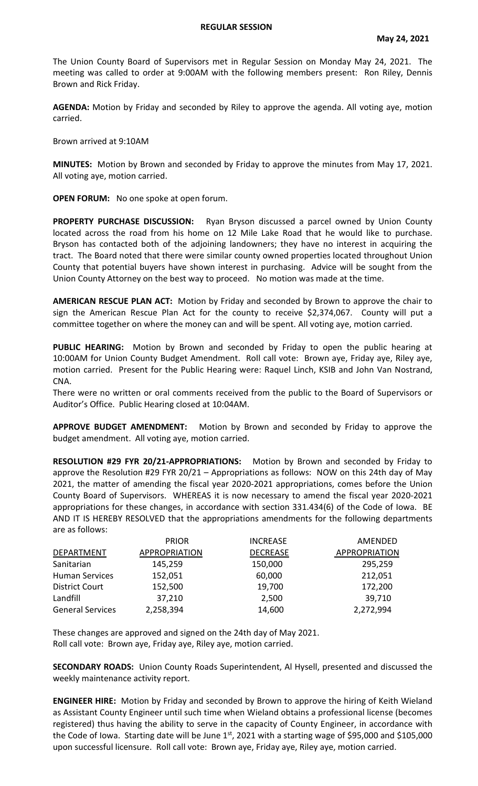## **REGULAR SESSION**

The Union County Board of Supervisors met in Regular Session on Monday May 24, 2021. The meeting was called to order at 9:00AM with the following members present: Ron Riley, Dennis Brown and Rick Friday.

**AGENDA:** Motion by Friday and seconded by Riley to approve the agenda. All voting aye, motion carried.

Brown arrived at 9:10AM

**MINUTES:** Motion by Brown and seconded by Friday to approve the minutes from May 17, 2021. All voting aye, motion carried.

**OPEN FORUM:** No one spoke at open forum.

**PROPERTY PURCHASE DISCUSSION:** Ryan Bryson discussed a parcel owned by Union County located across the road from his home on 12 Mile Lake Road that he would like to purchase. Bryson has contacted both of the adjoining landowners; they have no interest in acquiring the tract. The Board noted that there were similar county owned properties located throughout Union County that potential buyers have shown interest in purchasing. Advice will be sought from the Union County Attorney on the best way to proceed. No motion was made at the time.

**AMERICAN RESCUE PLAN ACT:** Motion by Friday and seconded by Brown to approve the chair to sign the American Rescue Plan Act for the county to receive \$2,374,067. County will put a committee together on where the money can and will be spent. All voting aye, motion carried.

**PUBLIC HEARING:** Motion by Brown and seconded by Friday to open the public hearing at 10:00AM for Union County Budget Amendment. Roll call vote: Brown aye, Friday aye, Riley aye, motion carried. Present for the Public Hearing were: Raquel Linch, KSIB and John Van Nostrand, CNA.

There were no written or oral comments received from the public to the Board of Supervisors or Auditor's Office. Public Hearing closed at 10:04AM.

**APPROVE BUDGET AMENDMENT:** Motion by Brown and seconded by Friday to approve the budget amendment. All voting aye, motion carried.

**RESOLUTION #29 FYR 20/21-APPROPRIATIONS:** Motion by Brown and seconded by Friday to approve the Resolution #29 FYR 20/21 – Appropriations as follows: NOW on this 24th day of May 2021, the matter of amending the fiscal year 2020-2021 appropriations, comes before the Union County Board of Supervisors. WHEREAS it is now necessary to amend the fiscal year 2020-2021 appropriations for these changes, in accordance with section 331.434(6) of the Code of Iowa. BE AND IT IS HEREBY RESOLVED that the appropriations amendments for the following departments are as follows:

|                         | <b>PRIOR</b>         | <b>INCREASE</b> | AMENDED       |
|-------------------------|----------------------|-----------------|---------------|
| <b>DEPARTMENT</b>       | <b>APPROPRIATION</b> | <b>DECREASE</b> | APPROPRIATION |
| Sanitarian              | 145,259              | 150,000         | 295,259       |
| <b>Human Services</b>   | 152,051              | 60,000          | 212,051       |
| <b>District Court</b>   | 152,500              | 19,700          | 172,200       |
| Landfill                | 37,210               | 2,500           | 39,710        |
| <b>General Services</b> | 2,258,394            | 14,600          | 2,272,994     |

These changes are approved and signed on the 24th day of May 2021. Roll call vote: Brown aye, Friday aye, Riley aye, motion carried.

**SECONDARY ROADS:** Union County Roads Superintendent, Al Hysell, presented and discussed the weekly maintenance activity report.

**ENGINEER HIRE:** Motion by Friday and seconded by Brown to approve the hiring of Keith Wieland as Assistant County Engineer until such time when Wieland obtains a professional license (becomes registered) thus having the ability to serve in the capacity of County Engineer, in accordance with the Code of Iowa. Starting date will be June  $1<sup>st</sup>$ , 2021 with a starting wage of \$95,000 and \$105,000 upon successful licensure. Roll call vote: Brown aye, Friday aye, Riley aye, motion carried.